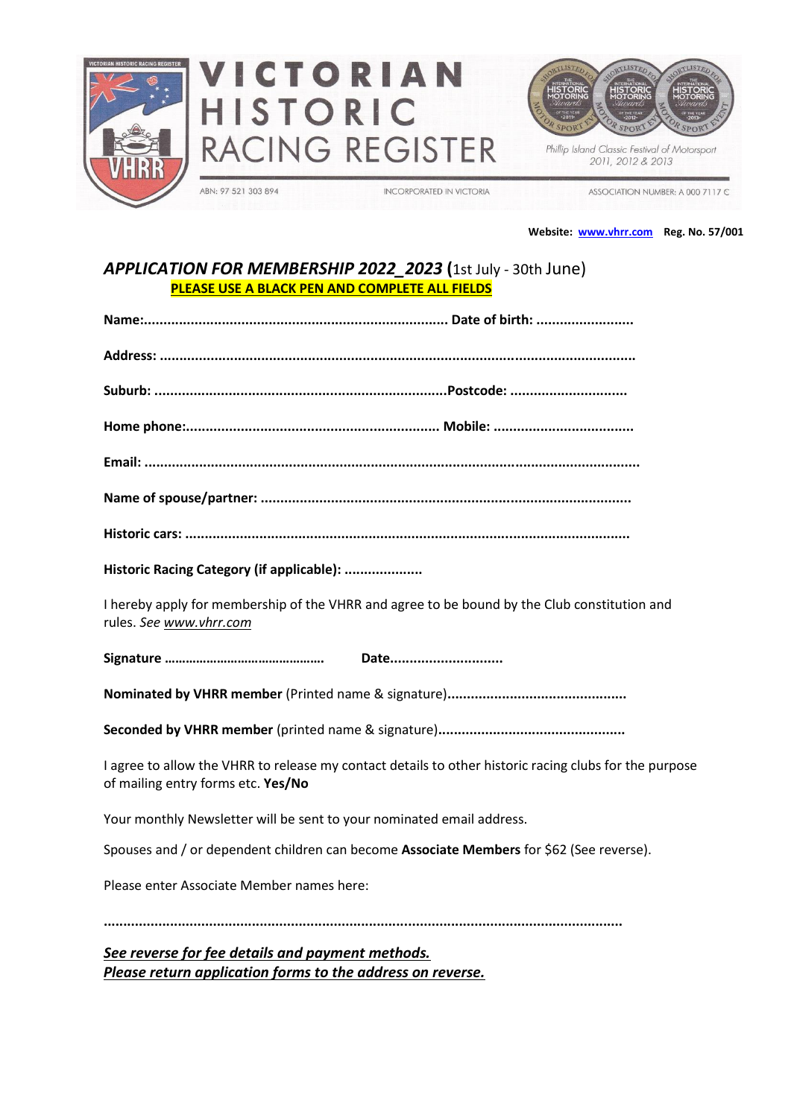





Phillip Island Classic Festival of Motorsport 2011, 2012 & 2013

ABN: 97 521 303 894

**INCORPORATED IN VICTORIA** 

ASSOCIATION NUMBER: A 000 7117 C

**Website: [www.vhrr.com](http://www.vhrr.com/) Reg. No. 57/001**

## *APPLICATION FOR MEMBERSHIP 2022\_2023* **(**1st July - 30th June) **PLEASE USE A BLACK PEN AND COMPLETE ALL FIELDS**

| Historic Racing Category (if applicable):                                                                                                    |
|----------------------------------------------------------------------------------------------------------------------------------------------|
| I hereby apply for membership of the VHRR and agree to be bound by the Club constitution and<br>rules. See www.vhrr.com                      |
| Date                                                                                                                                         |
|                                                                                                                                              |
|                                                                                                                                              |
| I agree to allow the VHRR to release my contact details to other historic racing clubs for the purpose<br>of mailing entry forms etc. Yes/No |
| Your monthly Newsletter will be sent to your nominated email address.                                                                        |
| Spouses and / or dependent children can become Associate Members for \$62 (See reverse).                                                     |
| Please enter Associate Member names here:                                                                                                    |
|                                                                                                                                              |
| See reverse for fee details and payment methods.                                                                                             |

*Please return application forms to the address on reverse.*